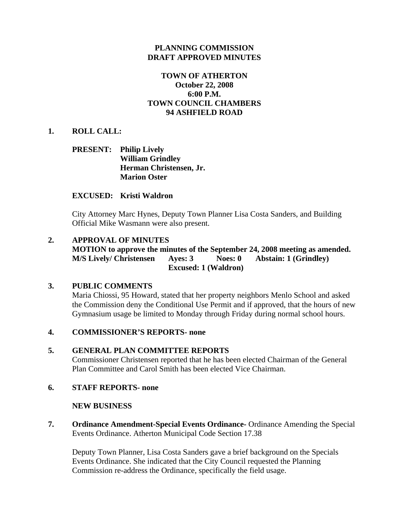## **PLANNING COMMISSION DRAFT APPROVED MINUTES**

## **TOWN OF ATHERTON October 22, 2008 6:00 P.M. TOWN COUNCIL CHAMBERS 94 ASHFIELD ROAD**

## **1. ROLL CALL:**

## **PRESENT: Philip Lively William Grindley Herman Christensen, Jr. Marion Oster**

### **EXCUSED: Kristi Waldron**

City Attorney Marc Hynes, Deputy Town Planner Lisa Costa Sanders, and Building Official Mike Wasmann were also present.

## **2. APPROVAL OF MINUTES**

**MOTION to approve the minutes of the September 24, 2008 meeting as amended. M/S Lively/ Christensen Ayes: 3 Noes: 0 Abstain: 1 (Grindley) Excused: 1 (Waldron)** 

## **3. PUBLIC COMMENTS**

Maria Chiossi, 95 Howard, stated that her property neighbors Menlo School and asked the Commission deny the Conditional Use Permit and if approved, that the hours of new Gymnasium usage be limited to Monday through Friday during normal school hours.

## **4. COMMISSIONER'S REPORTS- none**

#### **5. GENERAL PLAN COMMITTEE REPORTS**

Commissioner Christensen reported that he has been elected Chairman of the General Plan Committee and Carol Smith has been elected Vice Chairman.

## **6. STAFF REPORTS- none**

#### **NEW BUSINESS**

**7. Ordinance Amendment-Special Events Ordinance-** Ordinance Amending the Special Events Ordinance. Atherton Municipal Code Section 17.38

 Deputy Town Planner, Lisa Costa Sanders gave a brief background on the Specials Events Ordinance. She indicated that the City Council requested the Planning Commission re-address the Ordinance, specifically the field usage.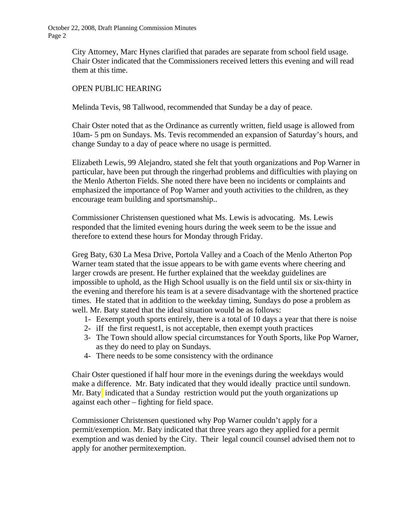> City Attorney, Marc Hynes clarified that parades are separate from school field usage. Chair Oster indicated that the Commissioners received letters this evening and will read them at this time.

## OPEN PUBLIC HEARING

Melinda Tevis, 98 Tallwood, recommended that Sunday be a day of peace.

 Chair Oster noted that as the Ordinance as currently written, field usage is allowed from 10am- 5 pm on Sundays. Ms. Tevis recommended an expansion of Saturday's hours, and change Sunday to a day of peace where no usage is permitted.

 Elizabeth Lewis, 99 Alejandro, stated she felt that youth organizations and Pop Warner in particular, have been put through the ringerhad problems and difficulties with playing on the Menlo Atherton Fields. She noted there have been no incidents or complaints and emphasized the importance of Pop Warner and youth activities to the children, as they encourage team building and sportsmanship..

Commissioner Christensen questioned what Ms. Lewis is advocating. Ms. Lewis responded that the limited evening hours during the week seem to be the issue and therefore to extend these hours for Monday through Friday.

Greg Baty, 630 La Mesa Drive, Portola Valley and a Coach of the Menlo Atherton Pop Warner team stated that the issue appears to be with game events where cheering and larger crowds are present. He further explained that the weekday guidelines are impossible to uphold, as the High School usually is on the field until six or six-thirty in the evening and therefore his team is at a severe disadvantage with the shortened practice times. He stated that in addition to the weekday timing, Sundays do pose a problem as well. Mr. Baty stated that the ideal situation would be as follows:

- 1- Eexempt youth sports entirely, there is a total of 10 days a year that there is noise
- 2- iIf the first request1, is not acceptable, then exempt youth practices
- 3- The Town should allow special circumstances for Youth Sports, like Pop Warner, as they do need to play on Sundays.
- 4- There needs to be some consistency with the ordinance

Chair Oster questioned if half hour more in the evenings during the weekdays would make a difference. Mr. Baty indicated that they would ideally practice until sundown. Mr. Baty indicated that a Sunday restriction would put the youth organizations up against each other – fighting for field space.

Commissioner Christensen questioned why Pop Warner couldn't apply for a permit/exemption. Mr. Baty indicated that three years ago they applied for a permit exemption and was denied by the City. Their legal council counsel advised them not to apply for another permitexemption.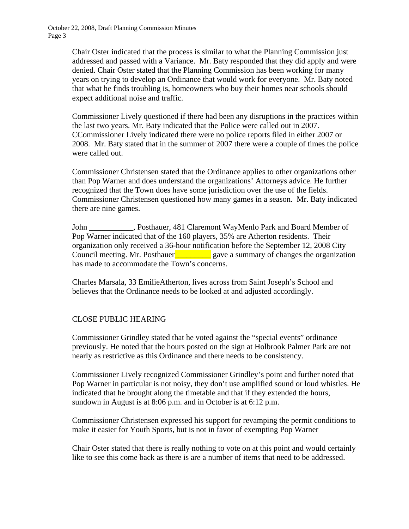> Chair Oster indicated that the process is similar to what the Planning Commission just addressed and passed with a Variance. Mr. Baty responded that they did apply and were denied. Chair Oster stated that the Planning Commission has been working for many years on trying to develop an Ordinance that would work for everyone. Mr. Baty noted that what he finds troubling is, homeowners who buy their homes near schools should expect additional noise and traffic.

> Commissioner Lively questioned if there had been any disruptions in the practices within the last two years. Mr. Baty indicated that the Police were called out in 2007. CCommissioner Lively indicated there were no police reports filed in either 2007 or 2008. Mr. Baty stated that in the summer of 2007 there were a couple of times the police were called out.

> Commissioner Christensen stated that the Ordinance applies to other organizations other than Pop Warner and does understand the organizations' Attorneys advice. He further recognized that the Town does have some jurisdiction over the use of the fields. Commissioner Christensen questioned how many games in a season. Mr. Baty indicated there are nine games.

> John \_\_\_\_\_\_\_\_\_\_\_, Posthauer, 481 Claremont WayMenlo Park and Board Member of Pop Warner indicated that of the 160 players, 35% are Atherton residents. Their organization only received a 36-hour notification before the September 12, 2008 City Council meeting. Mr. Posthauer  $\Box$  gave a summary of changes the organization has made to accommodate the Town's concerns.

Charles Marsala, 33 EmilieAtherton, lives across from Saint Joseph's School and believes that the Ordinance needs to be looked at and adjusted accordingly.

## CLOSE PUBLIC HEARING

Commissioner Grindley stated that he voted against the "special events" ordinance previously. He noted that the hours posted on the sign at Holbrook Palmer Park are not nearly as restrictive as this Ordinance and there needs to be consistency.

Commissioner Lively recognized Commissioner Grindley's point and further noted that Pop Warner in particular is not noisy, they don't use amplified sound or loud whistles. He indicated that he brought along the timetable and that if they extended the hours, sundown in August is at 8:06 p.m. and in October is at 6:12 p.m.

Commissioner Christensen expressed his support for revamping the permit conditions to make it easier for Youth Sports, but is not in favor of exempting Pop Warner

Chair Oster stated that there is really nothing to vote on at this point and would certainly like to see this come back as there is are a number of items that need to be addressed.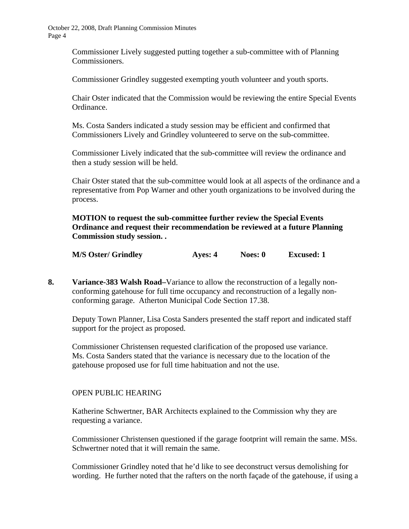> Commissioner Lively suggested putting together a sub-committee with of Planning Commissioners.

Commissioner Grindley suggested exempting youth volunteer and youth sports.

Chair Oster indicated that the Commission would be reviewing the entire Special Events Ordinance.

Ms. Costa Sanders indicated a study session may be efficient and confirmed that Commissioners Lively and Grindley volunteered to serve on the sub-committee.

Commissioner Lively indicated that the sub-committee will review the ordinance and then a study session will be held.

Chair Oster stated that the sub-committee would look at all aspects of the ordinance and a representative from Pop Warner and other youth organizations to be involved during the process.

**MOTION to request the sub-committee further review the Special Events Ordinance and request their recommendation be reviewed at a future Planning Commission study session. .** 

| <b>M/S Oster/ Grindley</b> | Ayes: 4 | Noes: 0 | <b>Excused: 1</b> |
|----------------------------|---------|---------|-------------------|
|----------------------------|---------|---------|-------------------|

**8. Variance-383 Walsh Road–**Variance to allow the reconstruction of a legally nonconforming gatehouse for full time occupancy and reconstruction of a legally nonconforming garage. Atherton Municipal Code Section 17.38.

Deputy Town Planner, Lisa Costa Sanders presented the staff report and indicated staff support for the project as proposed.

Commissioner Christensen requested clarification of the proposed use variance. Ms. Costa Sanders stated that the variance is necessary due to the location of the gatehouse proposed use for full time habituation and not the use.

## OPEN PUBLIC HEARING

 Katherine Schwertner, BAR Architects explained to the Commission why they are requesting a variance.

 Commissioner Christensen questioned if the garage footprint will remain the same. MSs. Schwertner noted that it will remain the same.

 Commissioner Grindley noted that he'd like to see deconstruct versus demolishing for wording. He further noted that the rafters on the north façade of the gatehouse, if using a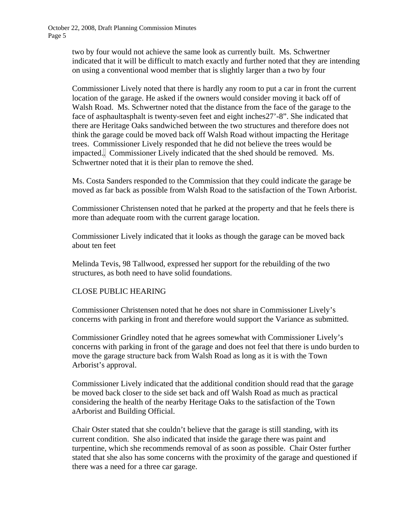> two by four would not achieve the same look as currently built. Ms. Schwertner indicated that it will be difficult to match exactly and further noted that they are intending on using a conventional wood member that is slightly larger than a two by four

 Commissioner Lively noted that there is hardly any room to put a car in front the current location of the garage. He asked if the owners would consider moving it back off of Walsh Road. Ms. Schwertner noted that the distance from the face of the garage to the face of asphaultasphalt is twenty-seven feet and eight inches27'-8". She indicated that there are Heritage Oaks sandwiched between the two structures and therefore does not think the garage could be moved back off Walsh Road without impacting the Heritage trees. Commissioner Lively responded that he did not believe the trees would be impacted... Commissioner Lively indicated that the shed should be removed. Ms. Schwertner noted that it is their plan to remove the shed.

 Ms. Costa Sanders responded to the Commission that they could indicate the garage be moved as far back as possible from Walsh Road to the satisfaction of the Town Arborist.

 Commissioner Christensen noted that he parked at the property and that he feels there is more than adequate room with the current garage location.

 Commissioner Lively indicated that it looks as though the garage can be moved back about ten feet

 Melinda Tevis, 98 Tallwood, expressed her support for the rebuilding of the two structures, as both need to have solid foundations.

## CLOSE PUBLIC HEARING

 Commissioner Christensen noted that he does not share in Commissioner Lively's concerns with parking in front and therefore would support the Variance as submitted.

 Commissioner Grindley noted that he agrees somewhat with Commissioner Lively's concerns with parking in front of the garage and does not feel that there is undo burden to move the garage structure back from Walsh Road as long as it is with the Town Arborist's approval.

 Commissioner Lively indicated that the additional condition should read that the garage be moved back closer to the side set back and off Walsh Road as much as practical considering the health of the nearby Heritage Oaks to the satisfaction of the Town aArborist and Building Official.

Chair Oster stated that she couldn't believe that the garage is still standing, with its current condition. She also indicated that inside the garage there was paint and turpentine, which she recommends removal of as soon as possible. Chair Oster further stated that she also has some concerns with the proximity of the garage and questioned if there was a need for a three car garage.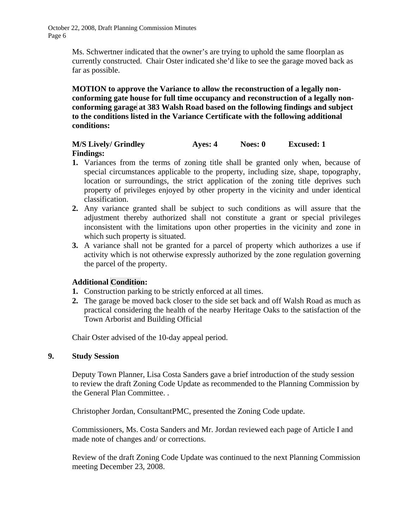> Ms. Schwertner indicated that the owner's are trying to uphold the same floorplan as currently constructed. Chair Oster indicated she'd like to see the garage moved back as far as possible.

> **MOTION to approve the Variance to allow the reconstruction of a legally nonconforming gate house for full time occupancy and reconstruction of a legally nonconforming garage at 383 Walsh Road based on the following findings and subject to the conditions listed in the Variance Certificate with the following additional conditions:**

## **M/S Lively/ Grindley Ayes: 4 Noes: 0 Excused: 1 Findings:**

- **1.** Variances from the terms of zoning title shall be granted only when, because of special circumstances applicable to the property, including size, shape, topography, location or surroundings, the strict application of the zoning title deprives such property of privileges enjoyed by other property in the vicinity and under identical classification.
- **2.** Any variance granted shall be subject to such conditions as will assure that the adjustment thereby authorized shall not constitute a grant or special privileges inconsistent with the limitations upon other properties in the vicinity and zone in which such property is situated.
- **3.** A variance shall not be granted for a parcel of property which authorizes a use if activity which is not otherwise expressly authorized by the zone regulation governing the parcel of the property.

## **Additional Condition:**

- **1.** Construction parking to be strictly enforced at all times.
- **2.** The garage be moved back closer to the side set back and off Walsh Road as much as practical considering the health of the nearby Heritage Oaks to the satisfaction of the Town Arborist and Building Official

Chair Oster advised of the 10-day appeal period.

## **9. Study Session**

Deputy Town Planner, Lisa Costa Sanders gave a brief introduction of the study session to review the draft Zoning Code Update as recommended to the Planning Commission by the General Plan Committee. .

Christopher Jordan, ConsultantPMC, presented the Zoning Code update.

 Commissioners, Ms. Costa Sanders and Mr. Jordan reviewed each page of Article I and made note of changes and/ or corrections.

 Review of the draft Zoning Code Update was continued to the next Planning Commission meeting December 23, 2008.